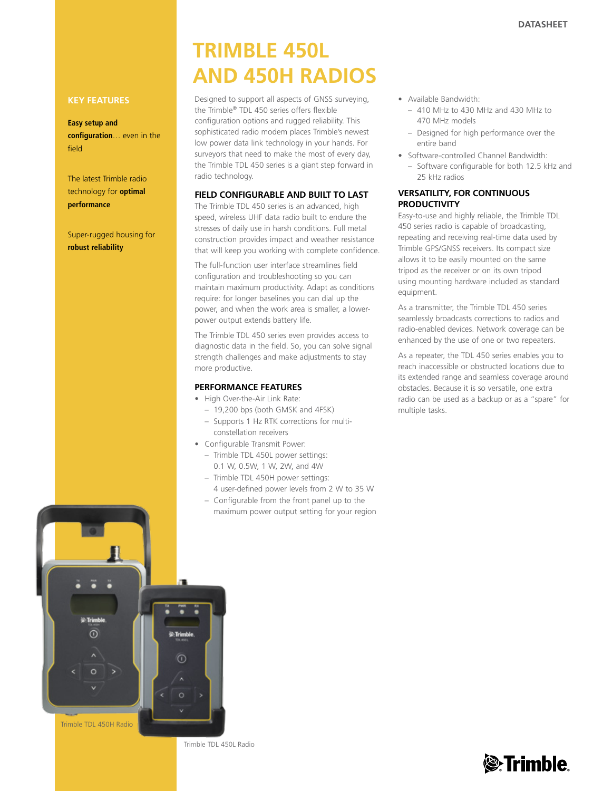#### **Key Features**

#### **Easy setup and**

**configuration**… even in the field

The latest Trimble radio technology for **optimal performance**

Super-rugged housing for **robust reliability**

# **TRIMBLE 450L and 450H radios**

Designed to support all aspects of GNSS surveying, the Trimble® TDL 450 series offers flexible configuration options and rugged reliability. This sophisticated radio modem places Trimble's newest low power data link technology in your hands. For surveyors that need to make the most of every day, the Trimble TDL 450 series is a giant step forward in radio technology.

#### **Field Configurable and Built to Last**

The Trimble TDL 450 series is an advanced, high speed, wireless UHF data radio built to endure the stresses of daily use in harsh conditions. Full metal construction provides impact and weather resistance that will keep you working with complete confidence.

The full-function user interface streamlines field configuration and troubleshooting so you can maintain maximum productivity. Adapt as conditions require: for longer baselines you can dial up the power, and when the work area is smaller, a lowerpower output extends battery life.

The Trimble TDL 450 series even provides access to diagnostic data in the field. So, you can solve signal strength challenges and make adjustments to stay more productive.

### **performance features**

- High Over-the-Air Link Rate:
	- 19,200 bps (both GMSK and 4FSK)
	- Supports 1 Hz RTK corrections for multiconstellation receivers
- • Configurable Transmit Power:
	- Trimble TDL 450L power settings: 0.1 W, 0.5W, 1 W, 2W, and 4W
	- Trimble TDL 450H power settings:
	- 4 user-defined power levels from 2 W to 35 W – Configurable from the front panel up to the
- • Available Bandwidth:
	- 410 MHz to 430 MHz and 430 MHz to 470 MHz models
	- Designed for high performance over the entire band
- • Software-controlled Channel Bandwidth:
	- Software configurable for both 12.5 kHz and 25 kHz radios

#### **Versatility, for Continuous Productivity**

Easy-to-use and highly reliable, the Trimble TDL 450 series radio is capable of broadcasting, repeating and receiving real-time data used by Trimble GPS/GNSS receivers. Its compact size allows it to be easily mounted on the same tripod as the receiver or on its own tripod using mounting hardware included as standard equipment.

As a transmitter, the Trimble TDL 450 series seamlessly broadcasts corrections to radios and radio-enabled devices. Network coverage can be enhanced by the use of one or two repeaters.

As a repeater, the TDL 450 series enables you to reach inaccessible or obstructed locations due to its extended range and seamless coverage around obstacles. Because it is so versatile, one extra radio can be used as a backup or as a "spare" for multiple tasks.



Trimble TDL 450L Radio

## *A*Trimble